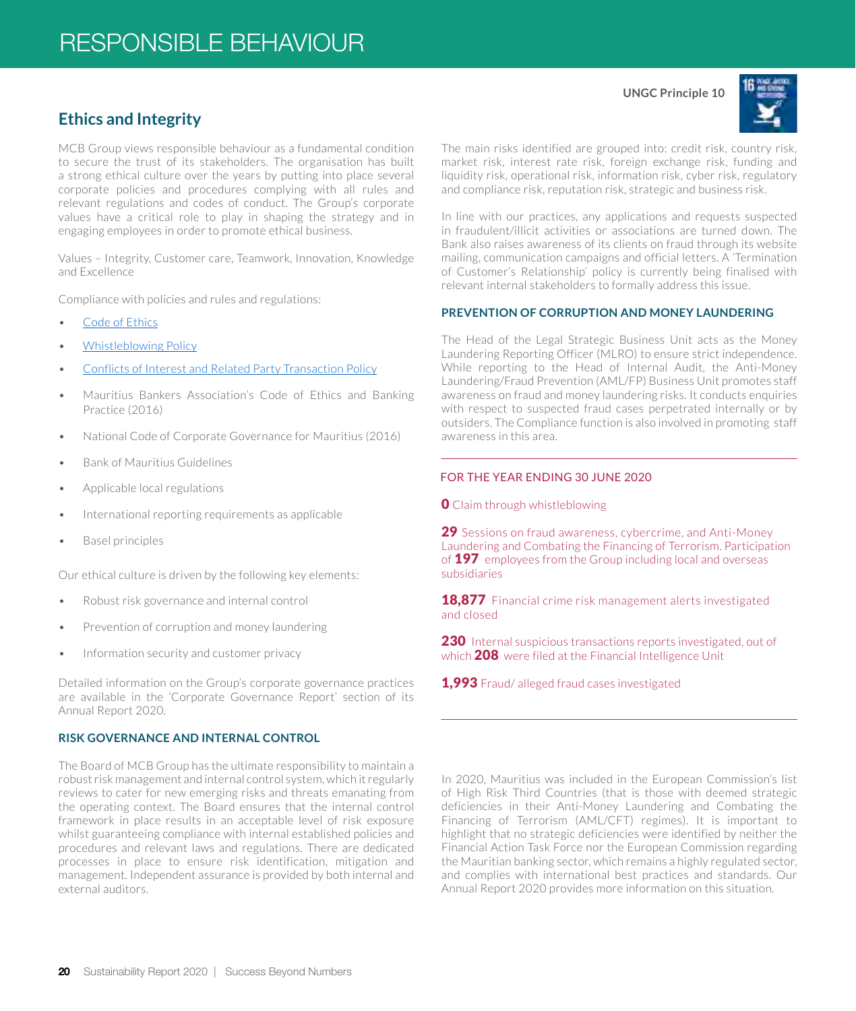# **Ethics and Integrity**

MCB Group views responsible behaviour as a fundamental condition to secure the trust of its stakeholders. The organisation has built a strong ethical culture over the years by putting into place several corporate policies and procedures complying with all rules and relevant regulations and codes of conduct. The Group's corporate values have a critical role to play in shaping the strategy and in engaging employees in order to promote ethical business.

Values – Integrity, Customer care, Teamwork, Innovation, Knowledge and Excellence

Compliance with policies and rules and regulations:

- [Code of Ethics](https://www.mcbgroup.com/en/handler/DownloadFile?f=%2fen%2fmedia%2fcode%2520of%2520ethics%2520policy_1_tcm67-22175.pdf)
- [Whistleblowing Policy](https://www.mcbgroup.com/en/handler/DownloadFile?f=%2fen%2fmedia%2fwhistle%2520blowing_policy_tcm67-22176.pdf)
- [Conflicts of Interest and Related Party Transaction Policy](https://www.mcbgroup.com/en/handler/DownloadFile?f=%2fen%2fmedia%2fconflicts%2520of%2520interest%2520and%2520related%2520party%2520transactions%2520policy_1_tcm67-22177.pdf)
- Mauritius Bankers Association's Code of Ethics and Banking Practice (2016)
- National Code of Corporate Governance for Mauritius (2016)
- Bank of Mauritius Guidelines
- Applicable local regulations
- International reporting requirements as applicable
- Basel principles

Our ethical culture is driven by the following key elements:

- Robust risk governance and internal control
- Prevention of corruption and money laundering
- Information security and customer privacy

Detailed information on the Group's corporate governance practices are available in the 'Corporate Governance Report' section of its Annual Report 2020.

### **RISK GOVERNANCE AND INTERNAL CONTROL**

The Board of MCB Group has the ultimate responsibility to maintain a robust risk management and internal control system, which it regularly reviews to cater for new emerging risks and threats emanating from the operating context. The Board ensures that the internal control framework in place results in an acceptable level of risk exposure whilst guaranteeing compliance with internal established policies and procedures and relevant laws and regulations. There are dedicated processes in place to ensure risk identification, mitigation and management. Independent assurance is provided by both internal and external auditors.

**UNGC Principle 10**



The main risks identified are grouped into: credit risk, country risk, market risk, interest rate risk, foreign exchange risk, funding and liquidity risk, operational risk, information risk, cyber risk, regulatory and compliance risk, reputation risk, strategic and business risk.

In line with our practices, any applications and requests suspected in fraudulent/illicit activities or associations are turned down. The Bank also raises awareness of its clients on fraud through its website mailing, communication campaigns and official letters. A 'Termination of Customer's Relationship' policy is currently being finalised with relevant internal stakeholders to formally address this issue.

### **PREVENTION OF CORRUPTION AND MONEY LAUNDERING**

The Head of the Legal Strategic Business Unit acts as the Money Laundering Reporting Officer (MLRO) to ensure strict independence. While reporting to the Head of Internal Audit, the Anti-Money Laundering/Fraud Prevention (AML/FP) Business Unit promotes staff awareness on fraud and money laundering risks. It conducts enquiries with respect to suspected fraud cases perpetrated internally or by outsiders. The Compliance function is also involved in promoting staff awareness in this area.

## FOR THE YEAR ENDING 30 JUNE 2020

**O** Claim through whistleblowing

29 Sessions on fraud awareness, cybercrime, and Anti-Money Laundering and Combating the Financing of Terrorism. Participation of **197** employees from the Group including local and overseas subsidiaries

18.877 Financial crime risk management alerts investigated and closed

230 Internal suspicious transactions reports investigated, out of which 208 were filed at the Financial Intelligence Unit

1,993 Fraud/ alleged fraud cases investigated

In 2020, Mauritius was included in the European Commission's list of High Risk Third Countries (that is those with deemed strategic deficiencies in their Anti-Money Laundering and Combating the Financing of Terrorism (AML/CFT) regimes). It is important to highlight that no strategic deficiencies were identified by neither the Financial Action Task Force nor the European Commission regarding the Mauritian banking sector, which remains a highly regulated sector, and complies with international best practices and standards. Our Annual Report 2020 provides more information on this situation.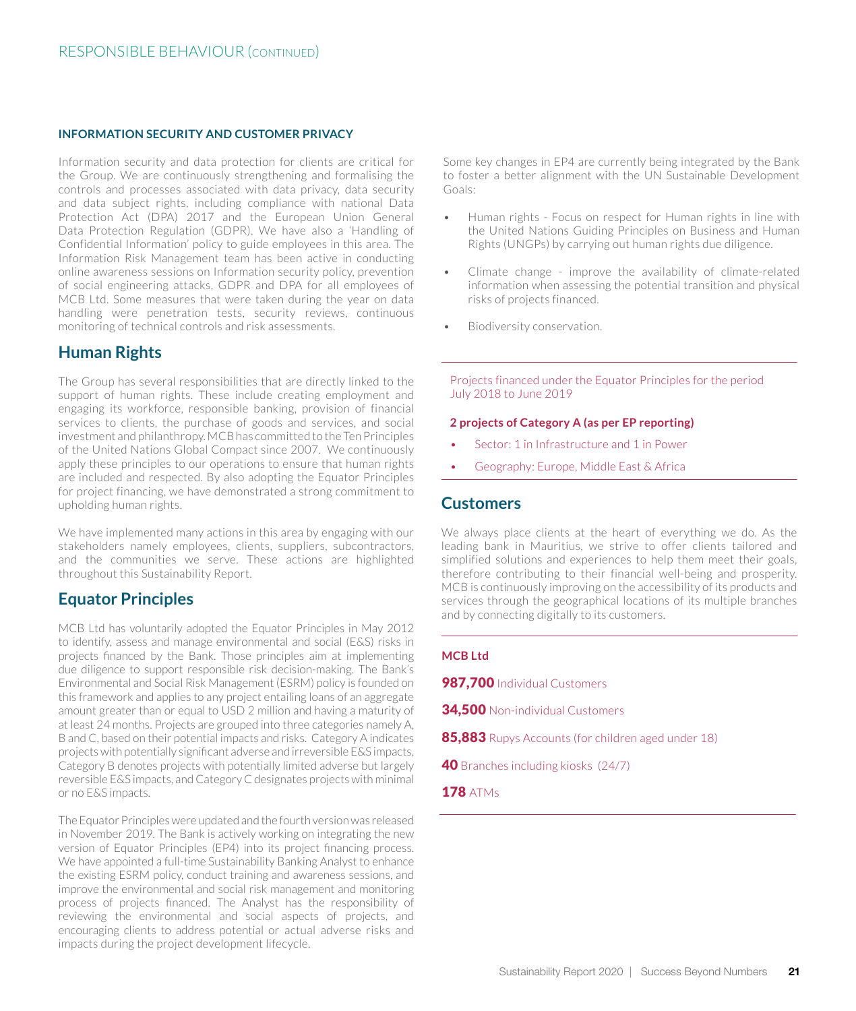### **INFORMATION SECURITY AND CUSTOMER PRIVACY**

Information security and data protection for clients are critical for the Group. We are continuously strengthening and formalising the controls and processes associated with data privacy, data security and data subject rights, including compliance with national Data Protection Act (DPA) 2017 and the European Union General Data Protection Regulation (GDPR). We have also a 'Handling of Confidential Information' policy to guide employees in this area. The Information Risk Management team has been active in conducting online awareness sessions on Information security policy, prevention of social engineering attacks, GDPR and DPA for all employees of MCB Ltd. Some measures that were taken during the year on data handling were penetration tests, security reviews, continuous monitoring of technical controls and risk assessments.

## **Human Rights**

The Group has several responsibilities that are directly linked to the support of human rights. These include creating employment and engaging its workforce, responsible banking, provision of financial services to clients, the purchase of goods and services, and social investment and philanthropy. MCB has committed to the Ten Principles of the United Nations Global Compact since 2007. We continuously apply these principles to our operations to ensure that human rights are included and respected. By also adopting the Equator Principles for project financing, we have demonstrated a strong commitment to upholding human rights.

We have implemented many actions in this area by engaging with our stakeholders namely employees, clients, suppliers, subcontractors, and the communities we serve. These actions are highlighted throughout this Sustainability Report.

## **Equator Principles**

MCB Ltd has voluntarily adopted the Equator Principles in May 2012 to identify, assess and manage environmental and social (E&S) risks in projects financed by the Bank. Those principles aim at implementing due diligence to support responsible risk decision-making. The Bank's Environmental and Social Risk Management (ESRM) policy is founded on this framework and applies to any project entailing loans of an aggregate amount greater than or equal to USD 2 million and having a maturity of at least 24 months. Projects are grouped into three categories namely A, B and C, based on their potential impacts and risks. Category A indicates projects with potentially significant adverse and irreversible E&S impacts, Category B denotes projects with potentially limited adverse but largely reversible E&S impacts, and Category C designates projects with minimal or no E&S impacts.

The Equator Principles were updated and the fourth version was released in November 2019. The Bank is actively working on integrating the new version of Equator Principles (EP4) into its project financing process. We have appointed a full-time Sustainability Banking Analyst to enhance the existing ESRM policy, conduct training and awareness sessions, and improve the environmental and social risk management and monitoring process of projects financed. The Analyst has the responsibility of reviewing the environmental and social aspects of projects, and encouraging clients to address potential or actual adverse risks and impacts during the project development lifecycle.

Some key changes in EP4 are currently being integrated by the Bank to foster a better alignment with the UN Sustainable Development Goals:

- Human rights Focus on respect for Human rights in line with the United Nations Guiding Principles on Business and Human Rights (UNGPs) by carrying out human rights due diligence.
- Climate change improve the availability of climate-related information when assessing the potential transition and physical risks of projects financed.
- Biodiversity conservation.

Projects financed under the Equator Principles for the period July 2018 to June 2019

#### **2 projects of Category A (as per EP reporting)**

- Sector: 1 in Infrastructure and 1 in Power
- Geography: Europe, Middle East & Africa

## **Customers**

We always place clients at the heart of everything we do. As the leading bank in Mauritius, we strive to offer clients tailored and simplified solutions and experiences to help them meet their goals, therefore contributing to their financial well-being and prosperity. MCB is continuously improving on the accessibility of its products and services through the geographical locations of its multiple branches and by connecting digitally to its customers.

### **MCB Ltd**

987,700 Individual Customers

- **34,500 Non-individual Customers**
- 85,883 Rupys Accounts (for children aged under 18)
- 40 Branches including kiosks (24/7)
- **178 ATMS**